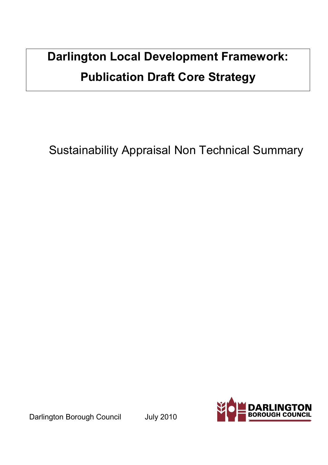# Darlington Local Development Framework: Publication Draft Core Strategy

Sustainability Appraisal Non Technical Summary

Darlington Borough Council July 2010

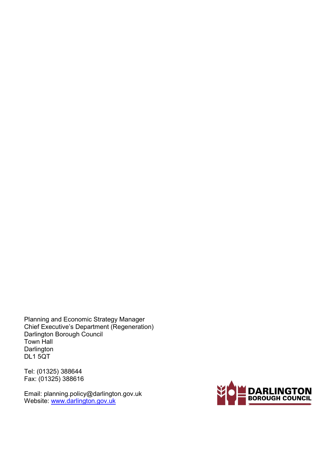Planning and Economic Strategy Manager Chief Executive's Department (Regeneration) Darlington Borough Council Town Hall **Darlington** DL1 5QT

Tel: (01325) 388644 Fax: (01325) 388616

Email: planning.policy@darlington.gov.uk Website: www.darlington.gov.uk

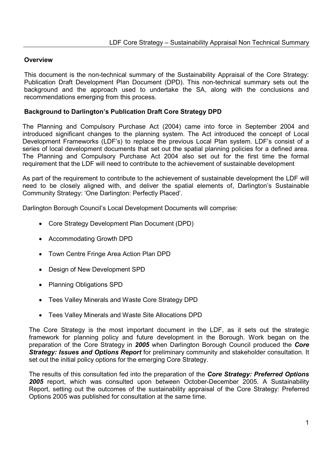### **Overview**

This document is the non-technical summary of the Sustainability Appraisal of the Core Strategy: Publication Draft Development Plan Document (DPD). This non-technical summary sets out the background and the approach used to undertake the SA, along with the conclusions and recommendations emerging from this process.

### Background to Darlington's Publication Draft Core Strategy DPD

The Planning and Compulsory Purchase Act (2004) came into force in September 2004 and introduced significant changes to the planning system. The Act introduced the concept of Local Development Frameworks (LDF's) to replace the previous Local Plan system. LDF's consist of a series of local development documents that set out the spatial planning policies for a defined area. The Planning and Compulsory Purchase Act 2004 also set out for the first time the formal requirement that the LDF will need to contribute to the achievement of sustainable development

As part of the requirement to contribute to the achievement of sustainable development the LDF will need to be closely aligned with, and deliver the spatial elements of, Darlington's Sustainable Community Strategy: 'One Darlington: Perfectly Placed'.

Darlington Borough Council's Local Development Documents will comprise:

- Core Strategy Development Plan Document (DPD)
- Accommodating Growth DPD
- Town Centre Fringe Area Action Plan DPD
- Design of New Development SPD
- Planning Obligations SPD
- Tees Valley Minerals and Waste Core Strategy DPD
- Tees Valley Minerals and Waste Site Allocations DPD

The Core Strategy is the most important document in the LDF, as it sets out the strategic framework for planning policy and future development in the Borough. Work began on the preparation of the Core Strategy in 2005 when Darlington Borough Council produced the Core Strategy: Issues and Options Report for preliminary community and stakeholder consultation. It set out the initial policy options for the emerging Core Strategy.

The results of this consultation fed into the preparation of the Core Strategy: Preferred Options 2005 report, which was consulted upon between October-December 2005. A Sustainability Report, setting out the outcomes of the sustainability appraisal of the Core Strategy: Preferred Options 2005 was published for consultation at the same time.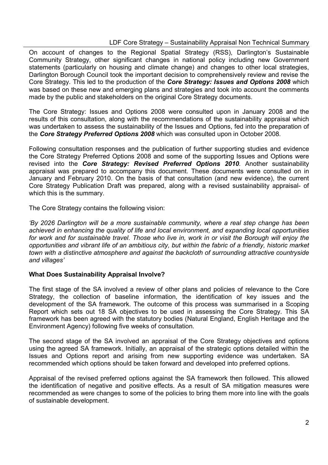On account of changes to the Regional Spatial Strategy (RSS), Darlington's Sustainable Community Strategy, other significant changes in national policy including new Government statements (particularly on housing and climate change) and changes to other local strategies, Darlington Borough Council took the important decision to comprehensively review and revise the Core Strategy. This led to the production of the **Core Strategy: Issues and Options 2008** which was based on these new and emerging plans and strategies and took into account the comments made by the public and stakeholders on the original Core Strategy documents.

The Core Strategy: Issues and Options 2008 were consulted upon in January 2008 and the results of this consultation, along with the recommendations of the sustainability appraisal which was undertaken to assess the sustainability of the Issues and Options, fed into the preparation of the Core Strategy Preferred Options 2008 which was consulted upon in October 2008.

Following consultation responses and the publication of further supporting studies and evidence the Core Strategy Preferred Options 2008 and some of the supporting Issues and Options were revised into the Core Strategy: Revised Preferred Options 2010. Another sustainability appraisal was prepared to accompany this document. These documents were consulted on in January and February 2010. On the basis of that consultation (and new evidence), the current Core Strategy Publication Draft was prepared, along with a revised sustainability appraisal- of which this is the summary.

The Core Strategy contains the following vision:

'By 2026 Darlington will be a more sustainable community, where a real step change has been achieved in enhancing the quality of life and local environment, and expanding local opportunities for work and for sustainable travel. Those who live in, work in or visit the Borough will enjoy the opportunities and vibrant life of an ambitious city, but within the fabric of a friendly, historic market town with a distinctive atmosphere and against the backcloth of surrounding attractive countryside and villages'

#### What Does Sustainability Appraisal Involve?

The first stage of the SA involved a review of other plans and policies of relevance to the Core Strategy, the collection of baseline information, the identification of key issues and the development of the SA framework. The outcome of this process was summarised in a Scoping Report which sets out 18 SA objectives to be used in assessing the Core Strategy. This SA framework has been agreed with the statutory bodies (Natural England, English Heritage and the Environment Agency) following five weeks of consultation.

The second stage of the SA involved an appraisal of the Core Strategy objectives and options using the agreed SA framework. Initially, an appraisal of the strategic options detailed within the Issues and Options report and arising from new supporting evidence was undertaken. SA recommended which options should be taken forward and developed into preferred options.

Appraisal of the revised preferred options against the SA framework then followed. This allowed the identification of negative and positive effects. As a result of SA mitigation measures were recommended as were changes to some of the policies to bring them more into line with the goals of sustainable development.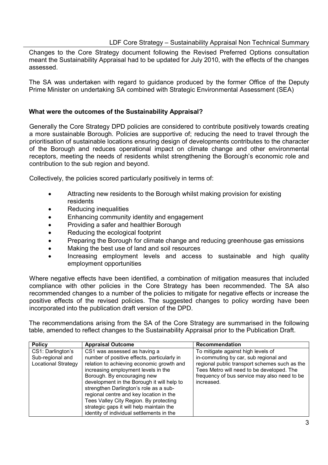Changes to the Core Strategy document following the Revised Preferred Options consultation meant the Sustainability Appraisal had to be updated for July 2010, with the effects of the changes assessed.

The SA was undertaken with regard to guidance produced by the former Office of the Deputy Prime Minister on undertaking SA combined with Strategic Environmental Assessment (SEA)

#### What were the outcomes of the Sustainability Appraisal?

Generally the Core Strategy DPD policies are considered to contribute positively towards creating a more sustainable Borough. Policies are supportive of; reducing the need to travel through the prioritisation of sustainable locations ensuring design of developments contributes to the character of the Borough and reduces operational impact on climate change and other environmental receptors, meeting the needs of residents whilst strengthening the Borough's economic role and contribution to the sub region and beyond.

Collectively, the policies scored particularly positively in terms of:

- Attracting new residents to the Borough whilst making provision for existing residents
- Reducing inequalities
- Enhancing community identity and engagement
- Providing a safer and healthier Borough
- Reducing the ecological footprint
- Preparing the Borough for climate change and reducing greenhouse gas emissions
- Making the best use of land and soil resources
- Increasing employment levels and access to sustainable and high quality employment opportunities

Where negative effects have been identified, a combination of mitigation measures that included compliance with other policies in the Core Strategy has been recommended. The SA also recommended changes to a number of the policies to mitigate for negative effects or increase the positive effects of the revised policies. The suggested changes to policy wording have been incorporated into the publication draft version of the DPD.

The recommendations arising from the SA of the Core Strategy are summarised in the following table, amended to reflect changes to the Sustainability Appraisal prior to the Publication Draft.

| <b>Policy</b>                         | <b>Recommendation</b><br><b>Appraisal Outcome</b>                                                                                                                                                                                                                                                                                                                                     |                                                                                                                                                          |
|---------------------------------------|---------------------------------------------------------------------------------------------------------------------------------------------------------------------------------------------------------------------------------------------------------------------------------------------------------------------------------------------------------------------------------------|----------------------------------------------------------------------------------------------------------------------------------------------------------|
| CS1: Darlington's<br>Sub-regional and | CS1 was assessed as having a<br>number of positive effects, particularly in                                                                                                                                                                                                                                                                                                           | To mitigate against high levels of<br>in-commuting by car, sub regional and                                                                              |
| <b>Locational Strategy</b>            | relation to achieving economic growth and<br>increasing employment levels in the<br>Borough. By encouraging new<br>development in the Borough it will help to<br>strengthen Darlington's role as a sub-<br>regional centre and key location in the<br>Tees Valley City Region. By protecting<br>strategic gaps it will help maintain the<br>identity of individual settlements in the | regional public transport schemes such as the<br>Tees Metro will need to be developed. The<br>frequency of bus service may also need to be<br>increased. |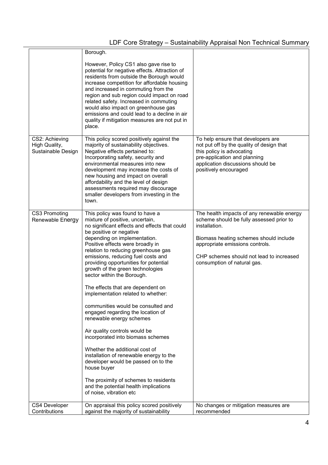|                                                       | Borough.                                                                                                                                                                                                                                                                                                                                                                                                                                                                                                                                                                                                                                                                                                                                                                                                                                                                                                           |                                                                                                                                                                                                                                                                 |
|-------------------------------------------------------|--------------------------------------------------------------------------------------------------------------------------------------------------------------------------------------------------------------------------------------------------------------------------------------------------------------------------------------------------------------------------------------------------------------------------------------------------------------------------------------------------------------------------------------------------------------------------------------------------------------------------------------------------------------------------------------------------------------------------------------------------------------------------------------------------------------------------------------------------------------------------------------------------------------------|-----------------------------------------------------------------------------------------------------------------------------------------------------------------------------------------------------------------------------------------------------------------|
|                                                       | However, Policy CS1 also gave rise to<br>potential for negative effects. Attraction of<br>residents from outside the Borough would<br>increase competition for affordable housing<br>and increased in commuting from the<br>region and sub region could impact on road<br>related safety. Increased in commuting<br>would also impact on greenhouse gas<br>emissions and could lead to a decline in air<br>quality if mitigation measures are not put in<br>place.                                                                                                                                                                                                                                                                                                                                                                                                                                                 |                                                                                                                                                                                                                                                                 |
| CS2: Achieving<br>High Quality,<br>Sustainable Design | This policy scored positively against the<br>majority of sustainability objectives.<br>Negative effects pertained to:<br>Incorporating safety, security and<br>environmental measures into new<br>development may increase the costs of<br>new housing and impact on overall<br>affordability and the level of design<br>assessments required may discourage<br>smaller developers from investing in the<br>town.                                                                                                                                                                                                                                                                                                                                                                                                                                                                                                  | To help ensure that developers are<br>not put off by the quality of design that<br>this policy is advocating<br>pre-application and planning<br>application discussions should be<br>positively encouraged                                                      |
| CS3 Promoting<br>Renewable Energy                     | This policy was found to have a<br>mixture of positive, uncertain,<br>no significant effects and effects that could<br>be positive or negative<br>depending on implementation.<br>Positive effects were broadly in<br>relation to reducing greenhouse gas<br>emissions, reducing fuel costs and<br>providing opportunities for potential<br>growth of the green technologies<br>sector within the Borough.<br>The effects that are dependent on<br>implementation related to whether:<br>communities would be consulted and<br>engaged regarding the location of<br>renewable energy schemes<br>Air quality controls would be<br>incorporated into biomass schemes<br>Whether the additional cost of<br>installation of renewable energy to the<br>developer would be passed on to the<br>house buyer<br>The proximity of schemes to residents<br>and the potential health implications<br>of noise, vibration etc | The health impacts of any renewable energy<br>scheme should be fully assessed prior to<br>installation.<br>Biomass heating schemes should include<br>appropriate emissions controls.<br>CHP schemes should not lead to increased<br>consumption of natural gas. |
| CS4 Developer<br>Contributions                        | On appraisal this policy scored positively<br>against the majority of sustainability                                                                                                                                                                                                                                                                                                                                                                                                                                                                                                                                                                                                                                                                                                                                                                                                                               | No changes or mitigation measures are<br>recommended                                                                                                                                                                                                            |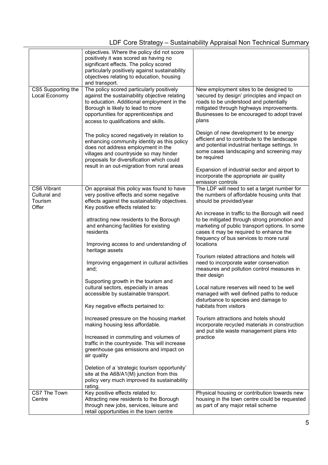|                                                 | objectives. Where the policy did not score<br>positively it was scored as having no<br>significant effects. The policy scored<br>particularly positively against sustainability<br>objectives relating to education, housing<br>and transport.                         |                                                                                                                                                                                                                                                      |
|-------------------------------------------------|------------------------------------------------------------------------------------------------------------------------------------------------------------------------------------------------------------------------------------------------------------------------|------------------------------------------------------------------------------------------------------------------------------------------------------------------------------------------------------------------------------------------------------|
| CS5 Supporting the<br>Local Economy             | The policy scored particularly positively<br>against the sustainability objective relating<br>to education. Additional employment in the<br>Borough is likely to lead to more<br>opportunities for apprenticeships and<br>access to qualifications and skills.         | New employment sites to be designed to<br>'secured by design' principles and impact on<br>roads to be understood and potentially<br>mitigated through highways improvements.<br>Businesses to be encouraged to adopt travel<br>plans                 |
|                                                 | The policy scored negatively in relation to<br>enhancing community identity as this policy<br>does not address employment in the<br>villages and countryside so may hinder<br>proposals for diversification which could<br>result in an out-migration from rural areas | Design of new development to be energy<br>efficient and to contribute to the landscape<br>and potential industrial heritage settings. In<br>some cases landscaping and screening may<br>be required<br>Expansion of industrial sector and airport to |
|                                                 |                                                                                                                                                                                                                                                                        | incorporate the appropriate air quality                                                                                                                                                                                                              |
| CS6 Vibrant<br>Cultural and<br>Tourism<br>Offer | On appraisal this policy was found to have<br>very positive effects and some negative<br>effects against the sustainability objectives.<br>Key positive effects related to:                                                                                            | emission controls<br>The LDF will need to set a target number for<br>the numbers of affordable housing units that<br>should be provided/year                                                                                                         |
|                                                 | attracting new residents to the Borough<br>and enhancing facilities for existing<br>residents<br>Improving access to and understanding of                                                                                                                              | An increase in traffic to the Borough will need<br>to be mitigated through strong promotion and<br>marketing of public transport options. In some<br>cases it may be required to enhance the<br>frequency of bus services to more rural<br>locations |
|                                                 | heritage assets<br>Improving engagement in cultural activities<br>and;                                                                                                                                                                                                 | Tourism related attractions and hotels will<br>need to incorporate water conservation<br>measures and pollution control measures in<br>their design                                                                                                  |
|                                                 | Supporting growth in the tourism and<br>cultural sectors, especially in areas<br>accessible by sustainable transport.<br>Key negative effects pertained to:                                                                                                            | Local nature reserves will need to be well<br>managed with well defined paths to reduce<br>disturbance to species and damage to<br>habitats from visitors                                                                                            |
|                                                 | Increased pressure on the housing market                                                                                                                                                                                                                               | Tourism attractions and hotels should                                                                                                                                                                                                                |
|                                                 | making housing less affordable.                                                                                                                                                                                                                                        | incorporate recycled materials in construction<br>and put site waste management plans into                                                                                                                                                           |
|                                                 | Increased in commuting and volumes of<br>traffic in the countryside. This will increase<br>greenhouse gas emissions and impact on<br>air quality                                                                                                                       | practice                                                                                                                                                                                                                                             |
|                                                 | Deletion of a 'strategic tourism opportunity'<br>site at the A68/A1(M) junction from this<br>policy very much improved its sustainability<br>rating.                                                                                                                   |                                                                                                                                                                                                                                                      |
| CS7 The Town<br>Centre                          | Key positive effects related to:<br>Attracting new residents to the Borough<br>through new jobs, services, leisure and<br>retail opportunities in the town centre                                                                                                      | Physical housing or contribution towards new<br>housing in the town centre could be requested<br>as part of any major retail scheme                                                                                                                  |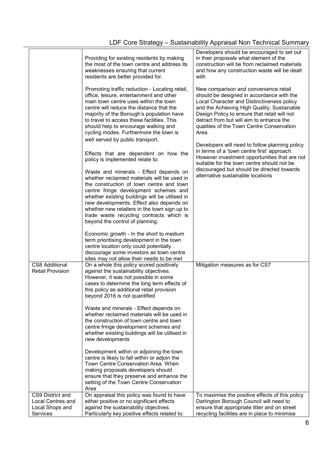|                                                                      | Providing for existing residents by making<br>the most of the town centre and address its<br>weaknesses ensuring that current<br>residents are better provided for.                                                                                                                                                                                                                                                                                                                                                      | Developers should be encouraged to set out<br>in their proposals what element of the<br>construction will be from reclaimed materials<br>and how any construction waste will be dealt<br>with                                                                                                                                     |
|----------------------------------------------------------------------|--------------------------------------------------------------------------------------------------------------------------------------------------------------------------------------------------------------------------------------------------------------------------------------------------------------------------------------------------------------------------------------------------------------------------------------------------------------------------------------------------------------------------|-----------------------------------------------------------------------------------------------------------------------------------------------------------------------------------------------------------------------------------------------------------------------------------------------------------------------------------|
|                                                                      | Promoting traffic reduction - Locating retail,<br>office, leisure, entertainment and other<br>main town centre uses within the town<br>centre will reduce the distance that the<br>majority of the Borough's population have<br>to travel to access these facilities. This<br>should help to encourage walking and<br>cycling modes. Furthermore the town is                                                                                                                                                             | New comparison and convenience retail<br>should be designed in accordance with the<br>Local Character and Distinctiveness policy<br>and the Achieving High Quality, Sustainable<br>Design Policy to ensure that retail will not<br>detract from but will aim to enhance the<br>qualities of the Town Centre Conservation<br>Area. |
|                                                                      | well served by public transport.<br>Effects that are dependent on how the<br>policy is implemented relate to:<br>Waste and minerals - Effect depends on<br>whether reclaimed materials will be used in<br>the construction of town centre and town<br>centre fringe development schemes and<br>whether existing buildings will be utilised in<br>new developments. Effect also depends on<br>whether new retailers in the town sign up to<br>trade waste recycling contracts which is<br>beyond the control of planning. | Developers will need to follow planning policy<br>in terms of a 'town centre first' approach.<br>However investment opportunities that are not<br>suitable for the town centre should not be<br>discouraged but should be directed towards<br>alternative sustainable locations                                                   |
|                                                                      | Economic growth - In the short to medium<br>term prioritising development in the town<br>centre location only could potentially<br>discourage some investors as town centre<br>sites may not allow their needs to be met                                                                                                                                                                                                                                                                                                 |                                                                                                                                                                                                                                                                                                                                   |
| CS8 Additional<br><b>Retail Provision</b>                            | On a whole this policy scored positively<br>against the sustainability objectives.<br>However, it was not possible in some<br>cases to determine the long term effects of<br>this policy as additional retail provision<br>beyond 2016 is not quantified                                                                                                                                                                                                                                                                 | Mitigation measures as for CS7                                                                                                                                                                                                                                                                                                    |
|                                                                      | Waste and minerals - Effect depends on<br>whether reclaimed materials will be used in<br>the construction of town centre and town<br>centre fringe development schemes and<br>whether existing buildings will be utilised in<br>new developments                                                                                                                                                                                                                                                                         |                                                                                                                                                                                                                                                                                                                                   |
|                                                                      | Development within or adjoining the town<br>centre is likely to fall within or adjoin the<br>Town Centre Conservation Area. When<br>making proposals developers should<br>ensure that they preserve and enhance the<br>setting of the Town Centre Conservation<br>Area                                                                                                                                                                                                                                                   |                                                                                                                                                                                                                                                                                                                                   |
| CS9 District and<br>Local Centres and<br>Local Shops and<br>Services | On appraisal this policy was found to have<br>either positive or no significant effects<br>against the sustainability objectives.<br>Particularly key positive effects related to:                                                                                                                                                                                                                                                                                                                                       | To maximise the positive effects of this policy<br>Darlington Borough Council will need to<br>ensure that appropriate litter and on street<br>recycling facilities are in place to minimise                                                                                                                                       |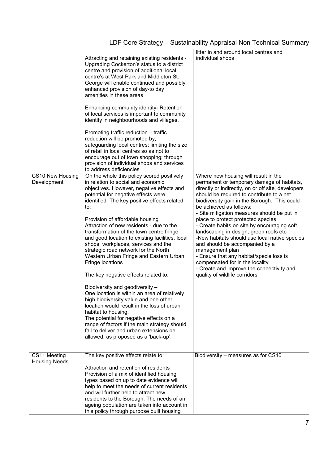| CS10 New Housing<br>Development      | Attracting and retaining existing residents -<br>Upgrading Cockerton's status to a district<br>centre and provision of additional local<br>centre's at West Park and Middleton St.<br>George will enable continued and possibly<br>enhanced provision of day-to day<br>amenities in these areas<br>Enhancing community identity- Retention<br>of local services is important to community<br>identity in neighbourhoods and villages.<br>Promoting traffic reduction - traffic<br>reduction will be promoted by;<br>safeguarding local centres; limiting the size<br>of retail in local centres so as not to<br>encourage out of town shopping; through<br>provision of individual shops and services<br>to address deficiencies<br>On the whole this policy scored positively<br>in relation to social and economic<br>objectives. However, negative effects and<br>potential for negative effects were<br>identified. The key positive effects related<br>to:<br>Provision of affordable housing<br>Attraction of new residents - due to the<br>transformation of the town centre fringe<br>and good location to existing facilities, local<br>shops, workplaces, services and the<br>strategic road network for the North<br>Western Urban Fringe and Eastern Urban<br>Fringe locations<br>The key negative effects related to:<br>Biodiversity and geodiversity -<br>One location is within an area of relatively<br>high biodiversity value and one other<br>location would result in the loss of urban<br>habitat to housing.<br>The potential for negative effects on a<br>range of factors if the main strategy should<br>fail to deliver and urban extensions be<br>allowed, as proposed as a 'back-up'. | litter in and around local centres and<br>individual shops<br>Where new housing will result in the<br>permanent or temporary damage of habitats,<br>directly or indirectly, on or off site, developers<br>should be required to contribute to a net<br>biodiversity gain in the Borough. This could<br>be achieved as follows:<br>- Site mitigation measures should be put in<br>place to protect protected species<br>- Create habits on site by encouraging soft<br>landscaping in design, green roofs etc<br>-New habitats should use local native species<br>and should be accompanied by a<br>management plan<br>- Ensure that any habitat/specie loss is<br>compensated for in the locality<br>- Create and improve the connectivity and<br>quality of wildlife corridors |
|--------------------------------------|-------------------------------------------------------------------------------------------------------------------------------------------------------------------------------------------------------------------------------------------------------------------------------------------------------------------------------------------------------------------------------------------------------------------------------------------------------------------------------------------------------------------------------------------------------------------------------------------------------------------------------------------------------------------------------------------------------------------------------------------------------------------------------------------------------------------------------------------------------------------------------------------------------------------------------------------------------------------------------------------------------------------------------------------------------------------------------------------------------------------------------------------------------------------------------------------------------------------------------------------------------------------------------------------------------------------------------------------------------------------------------------------------------------------------------------------------------------------------------------------------------------------------------------------------------------------------------------------------------------------------------------------------------------------------------------------------------------------|---------------------------------------------------------------------------------------------------------------------------------------------------------------------------------------------------------------------------------------------------------------------------------------------------------------------------------------------------------------------------------------------------------------------------------------------------------------------------------------------------------------------------------------------------------------------------------------------------------------------------------------------------------------------------------------------------------------------------------------------------------------------------------|
| CS11 Meeting<br><b>Housing Needs</b> | The key positive effects relate to:<br>Attraction and retention of residents<br>Provision of a mix of identified housing<br>types based on up to date evidence will<br>help to meet the needs of current residents<br>and will further help to attract new<br>residents to the Borough. The needs of an<br>ageing population are taken into account in<br>this policy through purpose built housing                                                                                                                                                                                                                                                                                                                                                                                                                                                                                                                                                                                                                                                                                                                                                                                                                                                                                                                                                                                                                                                                                                                                                                                                                                                                                                               | Biodiversity - measures as for CS10                                                                                                                                                                                                                                                                                                                                                                                                                                                                                                                                                                                                                                                                                                                                             |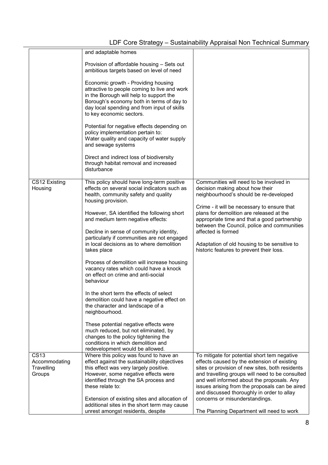|                                                      | and adaptable homes                                                                                                                                                                                                                                    |                                                                                                                                                                                                                                                                                                                                                 |
|------------------------------------------------------|--------------------------------------------------------------------------------------------------------------------------------------------------------------------------------------------------------------------------------------------------------|-------------------------------------------------------------------------------------------------------------------------------------------------------------------------------------------------------------------------------------------------------------------------------------------------------------------------------------------------|
|                                                      | Provision of affordable housing - Sets out<br>ambitious targets based on level of need                                                                                                                                                                 |                                                                                                                                                                                                                                                                                                                                                 |
|                                                      | Economic growth - Providing housing<br>attractive to people coming to live and work<br>in the Borough will help to support the<br>Borough's economy both in terms of day to<br>day local spending and from input of skills<br>to key economic sectors. |                                                                                                                                                                                                                                                                                                                                                 |
|                                                      | Potential for negative effects depending on<br>policy implementation pertain to:<br>Water quality and capacity of water supply<br>and sewage systems                                                                                                   |                                                                                                                                                                                                                                                                                                                                                 |
|                                                      | Direct and indirect loss of biodiversity<br>through habitat removal and increased<br>disturbance                                                                                                                                                       |                                                                                                                                                                                                                                                                                                                                                 |
| CS12 Existing<br>Housing                             | This policy should have long-term positive<br>effects on several social indicators such as<br>health, community safety and quality<br>housing provision.                                                                                               | Communities will need to be involved in<br>decision making about how their<br>neighbourhood's should be re-developed                                                                                                                                                                                                                            |
|                                                      | However, SA identified the following short<br>and medium term negative effects:                                                                                                                                                                        | Crime - it will be necessary to ensure that<br>plans for demolition are released at the<br>appropriate time and that a good partnership<br>between the Council, police and communities                                                                                                                                                          |
|                                                      | Decline in sense of community identity,<br>particularly if communities are not engaged<br>in local decisions as to where demolition<br>takes place                                                                                                     | affected is formed<br>Adaptation of old housing to be sensitive to<br>historic features to prevent their loss.                                                                                                                                                                                                                                  |
|                                                      | Process of demolition will increase housing<br>vacancy rates which could have a knock<br>on effect on crime and anti-social<br>behaviour                                                                                                               |                                                                                                                                                                                                                                                                                                                                                 |
|                                                      | In the short term the effects of select<br>demolition could have a negative effect on<br>the character and landscape of a<br>neighbourhood.                                                                                                            |                                                                                                                                                                                                                                                                                                                                                 |
|                                                      | These potential negative effects were<br>much reduced, but not eliminated, by<br>changes to the policy tightening the<br>conditions in which demolition and<br>redevelopment would be allowed.                                                         |                                                                                                                                                                                                                                                                                                                                                 |
| <b>CS13</b><br>Accommodating<br>Travelling<br>Groups | Where this policy was found to have an<br>effect against the sustainability objectives<br>this effect was very largely positive.<br>However, some negative effects were<br>identified through the SA process and<br>these relate to:                   | To mitigate for potential short tem negative<br>effects caused by the extension of existing<br>sites or provision of new sites, both residents<br>and travelling groups will need to be consulted<br>and well informed about the proposals. Any<br>issues arising from the proposals can be aired<br>and discussed thoroughly in order to allay |
|                                                      | Extension of existing sites and allocation of<br>additional sites in the short term may cause<br>unrest amongst residents, despite                                                                                                                     | concerns or misunderstandings.<br>The Planning Department will need to work                                                                                                                                                                                                                                                                     |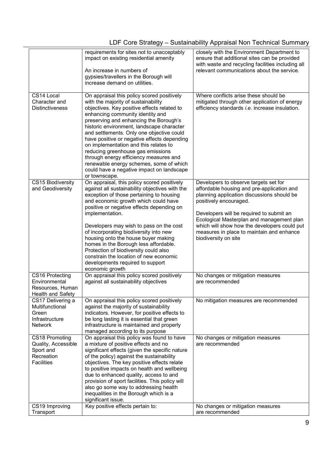|                                                                                       | requirements for sites not to unacceptably<br>impact on existing residential amenity<br>An increase in numbers of<br>gypsies/travellers in the Borough will<br>increase demand on utilities.                                                                                                                                                                                                                                                                                                                                                                                             | closely with the Environment Department to<br>ensure that additional sites can be provided<br>with waste and recycling facilities including all<br>relevant communications about the service.                                                                                                                                                                             |
|---------------------------------------------------------------------------------------|------------------------------------------------------------------------------------------------------------------------------------------------------------------------------------------------------------------------------------------------------------------------------------------------------------------------------------------------------------------------------------------------------------------------------------------------------------------------------------------------------------------------------------------------------------------------------------------|---------------------------------------------------------------------------------------------------------------------------------------------------------------------------------------------------------------------------------------------------------------------------------------------------------------------------------------------------------------------------|
| CS14 Local<br>Character and<br><b>Distinctiveness</b>                                 | On appraisal this policy scored positively<br>with the majority of sustainability<br>objectives. Key positive effects related to<br>enhancing community identity and<br>preserving and enhancing the Borough's<br>historic environment, landscape character<br>and settlements. Only one objective could<br>have positive or negative effects depending<br>on implementation and this relates to<br>reducing greenhouse gas emissions<br>through energy efficiency measures and<br>renewable energy schemes, some of which<br>could have a negative impact on landscape<br>or townscape. | Where conflicts arise these should be<br>mitigated through other application of energy<br>efficiency standards <i>i.e.</i> increase insulation.                                                                                                                                                                                                                           |
| CS15 Biodiversity<br>and Geodiversity                                                 | On appraisal, this policy scored positively<br>against all sustainability objectives with the<br>exception of those pertaining to housing<br>and economic growth which could have<br>positive or negative effects depending on<br>implementation.<br>Developers may wish to pass on the cost<br>of incorporating biodiversity into new<br>housing onto the house buyer making<br>homes in the Borough less affordable.<br>Protection of biodiversity could also<br>constrain the location of new economic<br>developments required to support<br>economic growth                         | Developers to observe targets set for<br>affordable housing and pre-application and<br>planning application discussions should be<br>positively encouraged.<br>Developers will be required to submit an<br>Ecological Masterplan and management plan<br>which will show how the developers could put<br>measures in place to maintain and enhance<br>biodiversity on site |
| CS16 Protecting<br>Environmental<br>Resources, Human<br><b>Health and Safety</b>      | On appraisal this policy scored positively<br>against all sustainability objectives                                                                                                                                                                                                                                                                                                                                                                                                                                                                                                      | No changes or mitigation measures<br>are recommended                                                                                                                                                                                                                                                                                                                      |
| CS17 Delivering a<br>Multifunctional<br>Green<br>Infrastructure<br><b>Network</b>     | On appraisal this policy scored positively<br>against the majority of sustainability<br>indicators. However, for positive effects to<br>be long lasting it is essential that green<br>infrastructure is maintained and properly<br>managed according to its purpose                                                                                                                                                                                                                                                                                                                      | No mitigation measures are recommended                                                                                                                                                                                                                                                                                                                                    |
| CS18 Promoting<br>Quality, Accessible<br>Sport and<br>Recreation<br><b>Facilities</b> | On appraisal this policy was found to have<br>a mixture of positive effects and no<br>significant effects (given the specific nature<br>of the policy) against the sustainability<br>objectives. The key positive effects relate<br>to positive impacts on health and wellbeing<br>due to enhanced quality, access to and<br>provision of sport facilities. This policy will<br>also go some way to addressing health<br>inequalities in the Borough which is a<br>significant issue.                                                                                                    | No changes or mitigation measures<br>are recommended                                                                                                                                                                                                                                                                                                                      |
| CS19 Improving<br>Transport                                                           | Key positive effects pertain to:                                                                                                                                                                                                                                                                                                                                                                                                                                                                                                                                                         | No changes or mitigation measures<br>are recommended                                                                                                                                                                                                                                                                                                                      |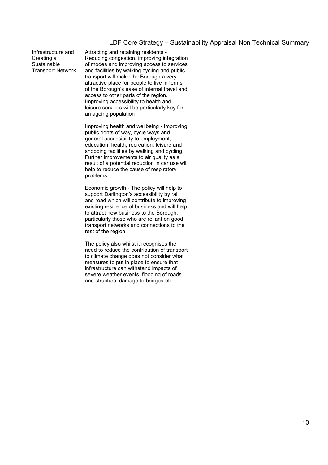| Infrastructure and<br>Creating a<br>Sustainable<br><b>Transport Network</b> | Attracting and retaining residents -<br>Reducing congestion, improving integration<br>of modes and improving access to services<br>and facilities by walking cycling and public<br>transport will make the Borough a very<br>attractive place for people to live in terms<br>of the Borough's ease of internal travel and<br>access to other parts of the region.<br>Improving accessibility to health and<br>leisure services will be particularly key for<br>an ageing population |  |
|-----------------------------------------------------------------------------|-------------------------------------------------------------------------------------------------------------------------------------------------------------------------------------------------------------------------------------------------------------------------------------------------------------------------------------------------------------------------------------------------------------------------------------------------------------------------------------|--|
|                                                                             | Improving health and wellbeing - Improving<br>public rights of way, cycle ways and<br>general accessibility to employment,<br>education, health, recreation, leisure and<br>shopping facilities by walking and cycling.<br>Further improvements to air quality as a<br>result of a potential reduction in car use will<br>help to reduce the cause of respiratory<br>problems.                                                                                                      |  |
|                                                                             | Economic growth - The policy will help to<br>support Darlington's accessibility by rail<br>and road which will contribute to improving<br>existing resilience of business and will help<br>to attract new business to the Borough,<br>particularly those who are reliant on good<br>transport networks and connections to the<br>rest of the region                                                                                                                                 |  |
|                                                                             | The policy also whilst it recognises the<br>need to reduce the contribution of transport<br>to climate change does not consider what<br>measures to put in place to ensure that<br>infrastructure can withstand impacts of<br>severe weather events, flooding of roads<br>and structural damage to bridges etc.                                                                                                                                                                     |  |